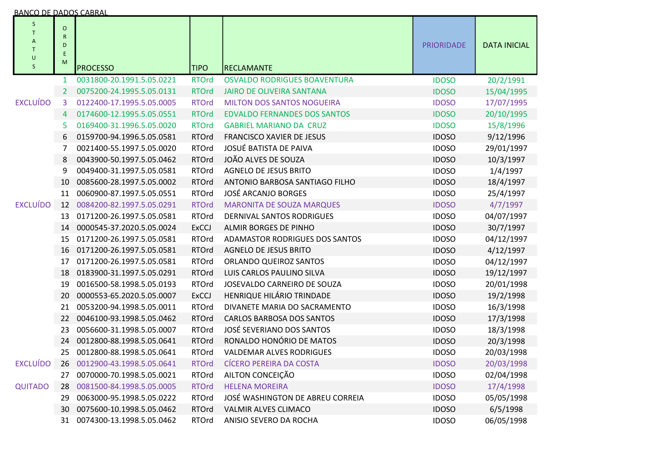| <b>BANCO DE DADOS CABRAL</b>          |                                     |                           |              |                                       |                   |                     |
|---------------------------------------|-------------------------------------|---------------------------|--------------|---------------------------------------|-------------------|---------------------|
| S<br>T<br>A<br>T<br>U<br>$\mathsf{S}$ | $\circ$<br>${\sf R}$<br>D<br>E<br>M | <b>PROCESSO</b>           | <b>TIPO</b>  | <b>RECLAMANTE</b>                     | <b>PRIORIDADE</b> | <b>DATA INICIAL</b> |
|                                       | 1                                   | 0031800-20.1991.5.05.0221 | <b>RTOrd</b> | <b>OSVALDO RODRIGUES BOAVENTURA</b>   | <b>IDOSO</b>      | 20/2/1991           |
|                                       | $\overline{2}$                      | 0075200-24.1995.5.05.0131 | <b>RTOrd</b> | <b>JAIRO DE OLIVEIRA SANTANA</b>      | <b>IDOSO</b>      | 15/04/1995          |
| <b>EXCLUÍDO</b>                       | 3                                   | 0122400-17.1995.5.05.0005 | <b>RTOrd</b> | <b>MILTON DOS SANTOS NOGUEIRA</b>     | <b>IDOSO</b>      | 17/07/1995          |
|                                       | 4                                   | 0174600-12.1995.5.05.0551 | <b>RTOrd</b> | <b>EDVALDO FERNANDES DOS SANTOS</b>   | <b>IDOSO</b>      | 20/10/1995          |
|                                       | 5                                   | 0169400-31.1996.5.05.0020 | <b>RTOrd</b> | <b>GABRIEL MARIANO DA CRUZ</b>        | <b>IDOSO</b>      | 15/8/1996           |
|                                       | 6                                   | 0159700-94.1996.5.05.0581 | <b>RTOrd</b> | <b>FRANCISCO XAVIER DE JESUS</b>      | <b>IDOSO</b>      | 9/12/1996           |
|                                       | 7                                   | 0021400-55.1997.5.05.0020 | <b>RTOrd</b> | JOSUÉ BATISTA DE PAIVA                | <b>IDOSO</b>      | 29/01/1997          |
|                                       | 8                                   | 0043900-50.1997.5.05.0462 | <b>RTOrd</b> | JOÃO ALVES DE SOUZA                   | <b>IDOSO</b>      | 10/3/1997           |
|                                       | 9                                   | 0049400-31.1997.5.05.0581 | <b>RTOrd</b> | AGNELO DE JESUS BRITO                 | <b>IDOSO</b>      | 1/4/1997            |
|                                       | 10                                  | 0085600-28.1997.5.05.0002 | <b>RTOrd</b> | ANTONIO BARBOSA SANTIAGO FILHO        | <b>IDOSO</b>      | 18/4/1997           |
|                                       | 11                                  | 0060900-87.1997.5.05.0551 | <b>RTOrd</b> | <b>JOSÉ ARCANJO BORGES</b>            | <b>IDOSO</b>      | 25/4/1997           |
| <b>EXCLUÍDO</b>                       | 12                                  | 0084200-82.1997.5.05.0291 | <b>RTOrd</b> | <b>MARONITA DE SOUZA MARQUES</b>      | <b>IDOSO</b>      | 4/7/1997            |
|                                       | 13                                  | 0171200-26.1997.5.05.0581 | <b>RTOrd</b> | DERNIVAL SANTOS RODRIGUES             | <b>IDOSO</b>      | 04/07/1997          |
|                                       | 14                                  | 0000545-37.2020.5.05.0024 | <b>ExCCJ</b> | ALMIR BORGES DE PINHO                 | <b>IDOSO</b>      | 30/7/1997           |
|                                       | 15                                  | 0171200-26.1997.5.05.0581 | <b>RTOrd</b> | <b>ADAMASTOR RODRIGUES DOS SANTOS</b> | <b>IDOSO</b>      | 04/12/1997          |
|                                       | 16                                  | 0171200-26.1997.5.05.0581 | <b>RTOrd</b> | <b>AGNELO DE JESUS BRITO</b>          | <b>IDOSO</b>      | 4/12/1997           |
|                                       | 17                                  | 0171200-26.1997.5.05.0581 | <b>RTOrd</b> | ORLANDO QUEIROZ SANTOS                | <b>IDOSO</b>      | 04/12/1997          |
|                                       | 18                                  | 0183900-31.1997.5.05.0291 | <b>RTOrd</b> | LUIS CARLOS PAULINO SILVA             | <b>IDOSO</b>      | 19/12/1997          |
|                                       | 19                                  | 0016500-58.1998.5.05.0193 | <b>RTOrd</b> | JOSEVALDO CARNEIRO DE SOUZA           | <b>IDOSO</b>      | 20/01/1998          |
|                                       | 20                                  | 0000553-65.2020.5.05.0007 | <b>ExCCJ</b> | HENRIQUE HILÁRIO TRINDADE             | <b>IDOSO</b>      | 19/2/1998           |
|                                       | 21                                  | 0053200-94.1998.5.05.0011 | <b>RTOrd</b> | DIVANETE MARIA DO SACRAMENTO          | <b>IDOSO</b>      | 16/3/1998           |
|                                       | 22                                  | 0046100-93.1998.5.05.0462 | <b>RTOrd</b> | <b>CARLOS BARBOSA DOS SANTOS</b>      | <b>IDOSO</b>      | 17/3/1998           |
|                                       | 23                                  | 0056600-31.1998.5.05.0007 | <b>RTOrd</b> | JOSÉ SEVERIANO DOS SANTOS             | <b>IDOSO</b>      | 18/3/1998           |
|                                       | 24                                  | 0012800-88.1998.5.05.0641 | <b>RTOrd</b> | RONALDO HONÓRIO DE MATOS              | <b>IDOSO</b>      | 20/3/1998           |
|                                       | 25                                  | 0012800-88.1998.5.05.0641 | <b>RTOrd</b> | <b>VALDEMAR ALVES RODRIGUES</b>       | <b>IDOSO</b>      | 20/03/1998          |
| <b>EXCLUÍDO</b>                       | 26                                  | 0012900-43.1998.5.05.0641 | <b>RTOrd</b> | <b>CÍCERO PEREIRA DA COSTA</b>        | <b>IDOSO</b>      | 20/03/1998          |
|                                       | 27                                  | 0070000-70.1998.5.05.0021 | <b>RTOrd</b> | AILTON CONCEIÇÃO                      | <b>IDOSO</b>      | 02/04/1998          |
| <b>QUITADO</b>                        | 28                                  | 0081500-84.1998.5.05.0005 | <b>RTOrd</b> | <b>HELENA MOREIRA</b>                 | <b>IDOSO</b>      | 17/4/1998           |
|                                       | 29                                  | 0063000-95.1998.5.05.0222 | <b>RTOrd</b> | JOSÉ WASHINGTON DE ABREU CORREIA      | <b>IDOSO</b>      | 05/05/1998          |
|                                       | 30                                  | 0075600-10.1998.5.05.0462 | <b>RTOrd</b> | VALMIR ALVES CLIMACO                  | <b>IDOSO</b>      | 6/5/1998            |
|                                       | 31                                  | 0074300-13.1998.5.05.0462 | <b>RTOrd</b> | ANISIO SEVERO DA ROCHA                | <b>IDOSO</b>      | 06/05/1998          |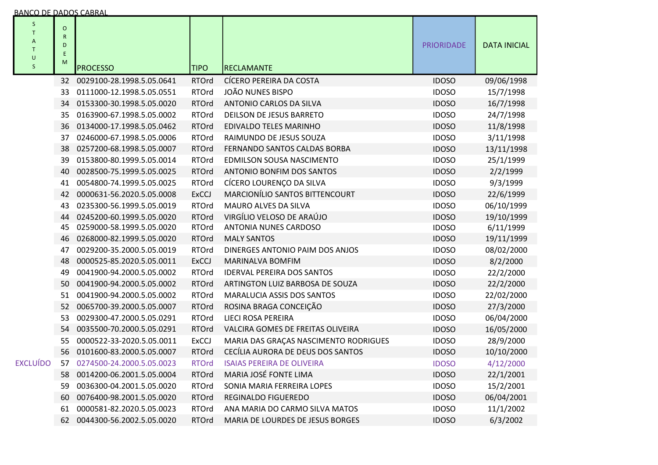| S<br>T<br>Α<br>T<br>$\cup$<br>$\sf S$ | $\circ$<br>$\mathsf{R}$<br>D<br>E<br>M | <b>PROCESSO</b>              | <b>TIPO</b>  | RECLAMANTE                            | <b>PRIORIDADE</b> | <b>DATA INICIAL</b> |
|---------------------------------------|----------------------------------------|------------------------------|--------------|---------------------------------------|-------------------|---------------------|
|                                       |                                        | 32 0029100-28.1998.5.05.0641 | <b>RTOrd</b> | CÍCERO PEREIRA DA COSTA               | <b>IDOSO</b>      | 09/06/1998          |
|                                       | 33                                     | 0111000-12.1998.5.05.0551    | <b>RTOrd</b> | JOÃO NUNES BISPO                      | <b>IDOSO</b>      | 15/7/1998           |
|                                       | 34                                     | 0153300-30.1998.5.05.0020    | <b>RTOrd</b> | ANTONIO CARLOS DA SILVA               | <b>IDOSO</b>      | 16/7/1998           |
|                                       | 35                                     | 0163900-67.1998.5.05.0002    | <b>RTOrd</b> | DEILSON DE JESUS BARRETO              | <b>IDOSO</b>      | 24/7/1998           |
|                                       | 36                                     | 0134000-17.1998.5.05.0462    | <b>RTOrd</b> | EDIVALDO TELES MARINHO                | <b>IDOSO</b>      | 11/8/1998           |
|                                       | 37                                     | 0246000-67.1998.5.05.0006    | <b>RTOrd</b> | RAIMUNDO DE JESUS SOUZA               | <b>IDOSO</b>      | 3/11/1998           |
|                                       | 38                                     | 0257200-68.1998.5.05.0007    | <b>RTOrd</b> | FERNANDO SANTOS CALDAS BORBA          | <b>IDOSO</b>      | 13/11/1998          |
|                                       | 39                                     | 0153800-80.1999.5.05.0014    | <b>RTOrd</b> | EDMILSON SOUSA NASCIMENTO             | <b>IDOSO</b>      | 25/1/1999           |
|                                       | 40                                     | 0028500-75.1999.5.05.0025    | <b>RTOrd</b> | ANTONIO BONFIM DOS SANTOS             | <b>IDOSO</b>      | 2/2/1999            |
|                                       | 41                                     | 0054800-74.1999.5.05.0025    | <b>RTOrd</b> | CÍCERO LOURENÇO DA SILVA              | <b>IDOSO</b>      | 9/3/1999            |
|                                       | 42                                     | 0000631-56.2020.5.05.0008    | ExCCJ        | MARCIONÍLIO SANTOS BITTENCOURT        | <b>IDOSO</b>      | 22/6/1999           |
|                                       | 43                                     | 0235300-56.1999.5.05.0019    | <b>RTOrd</b> | MAURO ALVES DA SILVA                  | <b>IDOSO</b>      | 06/10/1999          |
|                                       | 44                                     | 0245200-60.1999.5.05.0020    | <b>RTOrd</b> | VIRGÍLIO VELOSO DE ARAÚJO             | <b>IDOSO</b>      | 19/10/1999          |
|                                       | 45                                     | 0259000-58.1999.5.05.0020    | <b>RTOrd</b> | ANTONIA NUNES CARDOSO                 | <b>IDOSO</b>      | 6/11/1999           |
|                                       | 46                                     | 0268000-82.1999.5.05.0020    | <b>RTOrd</b> | <b>MALY SANTOS</b>                    | <b>IDOSO</b>      | 19/11/1999          |
|                                       | 47                                     | 0029200-35.2000.5.05.0019    | <b>RTOrd</b> | DINERGES ANTONIO PAIM DOS ANJOS       | <b>IDOSO</b>      | 08/02/2000          |
|                                       | 48                                     | 0000525-85.2020.5.05.0011    | ExCCJ        | MARINALVA BOMFIM                      | <b>IDOSO</b>      | 8/2/2000            |
|                                       | 49                                     | 0041900-94.2000.5.05.0002    | <b>RTOrd</b> | <b>IDERVAL PEREIRA DOS SANTOS</b>     | <b>IDOSO</b>      | 22/2/2000           |
|                                       | 50                                     | 0041900-94.2000.5.05.0002    | <b>RTOrd</b> | ARTINGTON LUIZ BARBOSA DE SOUZA       | <b>IDOSO</b>      | 22/2/2000           |
|                                       | 51                                     | 0041900-94.2000.5.05.0002    | <b>RTOrd</b> | MARALUCIA ASSIS DOS SANTOS            | <b>IDOSO</b>      | 22/02/2000          |
|                                       | 52                                     | 0065700-39.2000.5.05.0007    | <b>RTOrd</b> | ROSINA BRAGA CONCEIÇÃO                | <b>IDOSO</b>      | 27/3/2000           |
|                                       | 53                                     | 0029300-47.2000.5.05.0291    | <b>RTOrd</b> | LIECI ROSA PEREIRA                    | <b>IDOSO</b>      | 06/04/2000          |
|                                       |                                        | 54 0035500-70.2000.5.05.0291 | <b>RTOrd</b> | VALCIRA GOMES DE FREITAS OLIVEIRA     | <b>IDOSO</b>      | 16/05/2000          |
|                                       | 55                                     | 0000522-33-2020.5.05.0011    | ExCCJ        | MARIA DAS GRAÇAS NASCIMENTO RODRIGUES | <b>IDOSO</b>      | 28/9/2000           |
|                                       | 56                                     | 0101600-83.2000.5.05.0007    | <b>RTOrd</b> | CECÍLIA AURORA DE DEUS DOS SANTOS     | <b>IDOSO</b>      | 10/10/2000          |
| <b>EXCLUÍDO</b>                       | 57                                     | 0274500-24.2000.5.05.0023    | <b>RTOrd</b> | <b>ISAIAS PEREIRA DE OLIVEIRA</b>     | <b>IDOSO</b>      | 4/12/2000           |
|                                       |                                        | 58 0014200-06.2001.5.05.0004 | <b>RTOrd</b> | MARIA JOSÉ FONTE LIMA                 | <b>IDOSO</b>      | 22/1/2001           |
|                                       | 59                                     | 0036300-04.2001.5.05.0020    | <b>RTOrd</b> | SONIA MARIA FERREIRA LOPES            | <b>IDOSO</b>      | 15/2/2001           |
|                                       | 60                                     | 0076400-98.2001.5.05.0020    | <b>RTOrd</b> | REGINALDO FIGUEREDO                   | <b>IDOSO</b>      | 06/04/2001          |
|                                       |                                        | 61 0000581-82.2020.5.05.0023 | <b>RTOrd</b> | ANA MARIA DO CARMO SILVA MATOS        | <b>IDOSO</b>      | 11/1/2002           |
|                                       |                                        | 62 0044300-56.2002.5.05.0020 | <b>RTOrd</b> | MARIA DE LOURDES DE JESUS BORGES      | <b>IDOSO</b>      | 6/3/2002            |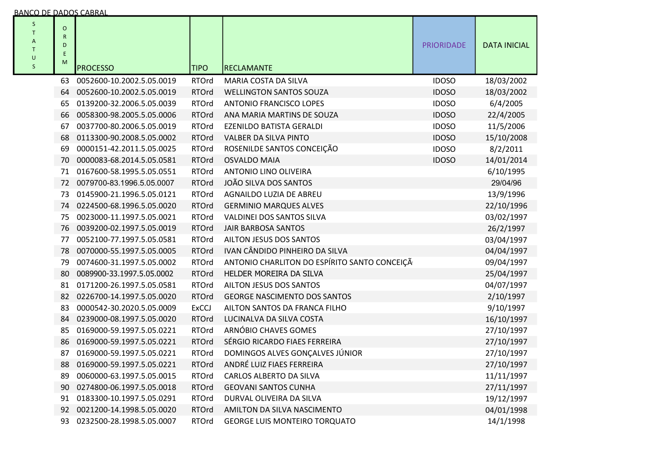| S<br>T.<br>Α<br>$\mathsf{T}$<br>U<br>S | O<br>R<br>D<br>Ε<br>M | <b>PROCESSO</b>           | <b>TIPO</b>  | <b>RECLAMANTE</b>                            | <b>PRIORIDADE</b> | <b>DATA INICIAL</b> |
|----------------------------------------|-----------------------|---------------------------|--------------|----------------------------------------------|-------------------|---------------------|
|                                        | 63                    | 0052600-10.2002.5.05.0019 | <b>RTOrd</b> | MARIA COSTA DA SILVA                         | <b>IDOSO</b>      | 18/03/2002          |
|                                        | 64                    | 0052600-10.2002.5.05.0019 | <b>RTOrd</b> | <b>WELLINGTON SANTOS SOUZA</b>               | <b>IDOSO</b>      | 18/03/2002          |
|                                        | 65                    | 0139200-32.2006.5.05.0039 | <b>RTOrd</b> | <b>ANTONIO FRANCISCO LOPES</b>               | <b>IDOSO</b>      | 6/4/2005            |
|                                        | 66                    | 0058300-98.2005.5.05.0006 | <b>RTOrd</b> | ANA MARIA MARTINS DE SOUZA                   | <b>IDOSO</b>      | 22/4/2005           |
|                                        | 67                    | 0037700-80.2006.5.05.0019 | <b>RTOrd</b> | EZENILDO BATISTA GERALDI                     | <b>IDOSO</b>      | 11/5/2006           |
|                                        | 68                    | 0113300-90.2008.5.05.0002 | <b>RTOrd</b> | <b>VALBER DA SILVA PINTO</b>                 | <b>IDOSO</b>      | 15/10/2008          |
|                                        | 69                    | 0000151-42.2011.5.05.0025 | <b>RTOrd</b> | ROSENILDE SANTOS CONCEIÇÃO                   | <b>IDOSO</b>      | 8/2/2011            |
|                                        | 70                    | 0000083-68.2014.5.05.0581 | <b>RTOrd</b> | <b>OSVALDO MAIA</b>                          | <b>IDOSO</b>      | 14/01/2014          |
|                                        | 71                    | 0167600-58.1995.5.05.0551 | <b>RTOrd</b> | <b>ANTONIO LINO OLIVEIRA</b>                 |                   | 6/10/1995           |
|                                        | 72                    | 0079700-83.1996.5.05.0007 | <b>RTOrd</b> | JOÃO SILVA DOS SANTOS                        |                   | 29/04/96            |
|                                        | 73                    | 0145900-21.1996.5.05.0121 | <b>RTOrd</b> | AGNAILDO LUZIA DE ABREU                      |                   | 13/9/1996           |
|                                        | 74                    | 0224500-68.1996.5.05.0020 | <b>RTOrd</b> | <b>GERMINIO MARQUES ALVES</b>                |                   | 22/10/1996          |
|                                        | 75                    | 0023000-11.1997.5.05.0021 | <b>RTOrd</b> | VALDINEI DOS SANTOS SILVA                    |                   | 03/02/1997          |
|                                        | 76                    | 0039200-02.1997.5.05.0019 | <b>RTOrd</b> | <b>JAIR BARBOSA SANTOS</b>                   |                   | 26/2/1997           |
|                                        | 77                    | 0052100-77.1997.5.05.0581 | <b>RTOrd</b> | AILTON JESUS DOS SANTOS                      |                   | 03/04/1997          |
|                                        | 78                    | 0070000-55.1997.5.05.0005 | <b>RTOrd</b> | IVAN CÂNDIDO PINHEIRO DA SILVA               |                   | 04/04/1997          |
|                                        | 79                    | 0074600-31.1997.5.05.0002 | <b>RTOrd</b> | ANTONIO CHARLITON DO ESPÍRITO SANTO CONCEIÇÃ |                   | 09/04/1997          |
|                                        | 80                    | 0089900-33.1997.5.05.0002 | <b>RTOrd</b> | HELDER MOREIRA DA SILVA                      |                   | 25/04/1997          |
|                                        | 81                    | 0171200-26.1997.5.05.0581 | <b>RTOrd</b> | AILTON JESUS DOS SANTOS                      |                   | 04/07/1997          |
|                                        | 82                    | 0226700-14.1997.5.05.0020 | <b>RTOrd</b> | <b>GEORGE NASCIMENTO DOS SANTOS</b>          |                   | 2/10/1997           |
|                                        | 83                    | 0000542-30.2020.5.05.0009 | <b>ExCCJ</b> | AILTON SANTOS DA FRANCA FILHO                |                   | 9/10/1997           |
|                                        | 84                    | 0239000-08.1997.5.05.0020 | <b>RTOrd</b> | LUCINALVA DA SILVA COSTA                     |                   | 16/10/1997          |
|                                        | 85                    | 0169000-59.1997.5.05.0221 | <b>RTOrd</b> | ARNÓBIO CHAVES GOMES                         |                   | 27/10/1997          |
|                                        | 86                    | 0169000-59.1997.5.05.0221 | <b>RTOrd</b> | SÉRGIO RICARDO FIAES FERREIRA                |                   | 27/10/1997          |
|                                        | 87                    | 0169000-59.1997.5.05.0221 | <b>RTOrd</b> | DOMINGOS ALVES GONÇALVES JÚNIOR              |                   | 27/10/1997          |
|                                        | 88                    | 0169000-59.1997.5.05.0221 | <b>RTOrd</b> | ANDRÉ LUIZ FIAES FERREIRA                    |                   | 27/10/1997          |
|                                        | 89                    | 0060000-63.1997.5.05.0015 | <b>RTOrd</b> | CARLOS ALBERTO DA SILVA                      |                   | 11/11/1997          |
|                                        | 90                    | 0274800-06.1997.5.05.0018 | <b>RTOrd</b> | <b>GEOVANI SANTOS CUNHA</b>                  |                   | 27/11/1997          |
|                                        | 91                    | 0183300-10.1997.5.05.0291 | <b>RTOrd</b> | DURVAL OLIVEIRA DA SILVA                     |                   | 19/12/1997          |
|                                        | 92                    | 0021200-14.1998.5.05.0020 | <b>RTOrd</b> | AMILTON DA SILVA NASCIMENTO                  |                   | 04/01/1998          |
|                                        | 93                    | 0232500-28.1998.5.05.0007 | <b>RTOrd</b> | <b>GEORGE LUIS MONTEIRO TORQUATO</b>         |                   | 14/1/1998           |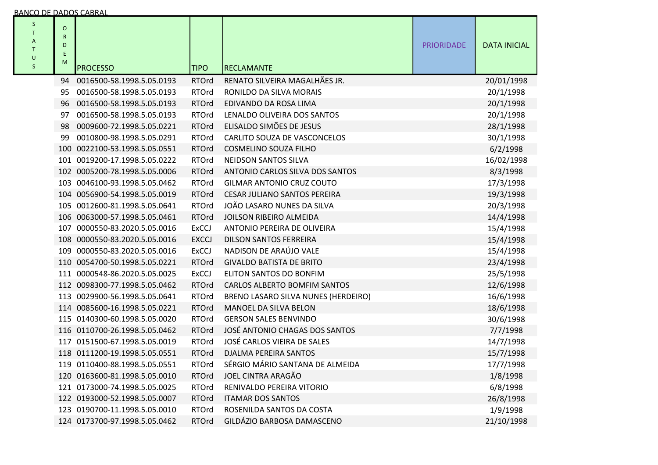| S<br>T<br>Α<br>T<br>U<br>$\sf S$ | $\circ$<br>${\sf R}$<br>D<br>Ε<br>M | <b>PROCESSO</b>               | <b>TIPO</b>  | <b>RECLAMANTE</b>                   | <b>PRIORIDADE</b> | <b>DATA INICIAL</b> |
|----------------------------------|-------------------------------------|-------------------------------|--------------|-------------------------------------|-------------------|---------------------|
|                                  | 94                                  | 0016500-58.1998.5.05.0193     | <b>RTOrd</b> | RENATO SILVEIRA MAGALHÃES JR.       |                   | 20/01/1998          |
|                                  | 95                                  | 0016500-58.1998.5.05.0193     | <b>RTOrd</b> | RONILDO DA SILVA MORAIS             |                   | 20/1/1998           |
|                                  |                                     | 96 0016500-58.1998.5.05.0193  | <b>RTOrd</b> | EDIVANDO DA ROSA LIMA               |                   | 20/1/1998           |
|                                  | 97                                  | 0016500-58.1998.5.05.0193     | <b>RTOrd</b> | LENALDO OLIVEIRA DOS SANTOS         |                   | 20/1/1998           |
|                                  | 98                                  | 0009600-72.1998.5.05.0221     | <b>RTOrd</b> | ELISALDO SIMÕES DE JESUS            |                   | 28/1/1998           |
|                                  | 99                                  | 0010800-98.1998.5.05.0291     | <b>RTOrd</b> | CARLITO SOUZA DE VASCONCELOS        |                   | 30/1/1998           |
|                                  |                                     | 100 0022100-53.1998.5.05.0551 | <b>RTOrd</b> | COSMELINO SOUZA FILHO               |                   | 6/2/1998            |
|                                  |                                     | 101 0019200-17.1998.5.05.0222 | <b>RTOrd</b> | NEIDSON SANTOS SILVA                |                   | 16/02/1998          |
|                                  |                                     | 102 0005200-78.1998.5.05.0006 | <b>RTOrd</b> | ANTONIO CARLOS SILVA DOS SANTOS     |                   | 8/3/1998            |
|                                  |                                     | 103 0046100-93.1998.5.05.0462 | <b>RTOrd</b> | <b>GILMAR ANTONIO CRUZ COUTO</b>    |                   | 17/3/1998           |
|                                  |                                     | 104 0056900-54.1998.5.05.0019 | <b>RTOrd</b> | <b>CESAR JULIANO SANTOS PEREIRA</b> |                   | 19/3/1998           |
|                                  |                                     | 105 0012600-81.1998.5.05.0641 | <b>RTOrd</b> | JOÃO LASARO NUNES DA SILVA          |                   | 20/3/1998           |
|                                  |                                     | 106 0063000-57.1998.5.05.0461 | <b>RTOrd</b> | JOILSON RIBEIRO ALMEIDA             |                   | 14/4/1998           |
|                                  |                                     | 107 0000550-83.2020.5.05.0016 | <b>ExCCJ</b> | ANTONIO PEREIRA DE OLIVEIRA         |                   | 15/4/1998           |
|                                  |                                     | 108 0000550-83.2020.5.05.0016 | <b>EXCCJ</b> | DILSON SANTOS FERREIRA              |                   | 15/4/1998           |
|                                  |                                     | 109 0000550-83.2020.5.05.0016 | <b>ExCCJ</b> | NADISON DE ARAÚJO VALE              |                   | 15/4/1998           |
|                                  |                                     | 110 0054700-50.1998.5.05.0221 | <b>RTOrd</b> | <b>GIVALDO BATISTA DE BRITO</b>     |                   | 23/4/1998           |
|                                  |                                     | 111 0000548-86.2020.5.05.0025 | <b>ExCCJ</b> | ELITON SANTOS DO BONFIM             |                   | 25/5/1998           |
|                                  |                                     | 112 0098300-77.1998.5.05.0462 | <b>RTOrd</b> | <b>CARLOS ALBERTO BOMFIM SANTOS</b> |                   | 12/6/1998           |
|                                  |                                     | 113 0029900-56.1998.5.05.0641 | <b>RTOrd</b> | BRENO LASARO SILVA NUNES (HERDEIRO) |                   | 16/6/1998           |
|                                  |                                     | 114 0085600-16.1998.5.05.0221 | <b>RTOrd</b> | MANOEL DA SILVA BELON               |                   | 18/6/1998           |
|                                  |                                     | 115 0140300-60.1998.5.05.0020 | <b>RTOrd</b> | <b>GERSON SALES BENVINDO</b>        |                   | 30/6/1998           |
|                                  |                                     | 116 0110700-26.1998.5.05.0462 | <b>RTOrd</b> | JOSÉ ANTONIO CHAGAS DOS SANTOS      |                   | 7/7/1998            |
|                                  |                                     | 117 0151500-67.1998.5.05.0019 | <b>RTOrd</b> | JOSÉ CARLOS VIEIRA DE SALES         |                   | 14/7/1998           |
|                                  |                                     | 118 0111200-19.1998.5.05.0551 | <b>RTOrd</b> | DJALMA PEREIRA SANTOS               |                   | 15/7/1998           |
|                                  |                                     | 119 0110400-88.1998.5.05.0551 | <b>RTOrd</b> | SÉRGIO MÁRIO SANTANA DE ALMEIDA     |                   | 17/7/1998           |
|                                  |                                     | 120 0163600-81.1998.5.05.0010 | <b>RTOrd</b> | JOEL CINTRA ARAGÃO                  |                   | 1/8/1998            |
|                                  |                                     | 121 0173000-74.1998.5.05.0025 | <b>RTOrd</b> | RENIVALDO PEREIRA VITORIO           |                   | 6/8/1998            |
|                                  |                                     | 122 0193000-52.1998.5.05.0007 | <b>RTOrd</b> | <b>ITAMAR DOS SANTOS</b>            |                   | 26/8/1998           |
|                                  |                                     | 123 0190700-11.1998.5.05.0010 | <b>RTOrd</b> | ROSENILDA SANTOS DA COSTA           |                   | 1/9/1998            |
|                                  |                                     | 124 0173700-97.1998.5.05.0462 | <b>RTOrd</b> | GILDÁZIO BARBOSA DAMASCENO          |                   | 21/10/1998          |
|                                  |                                     |                               |              |                                     |                   |                     |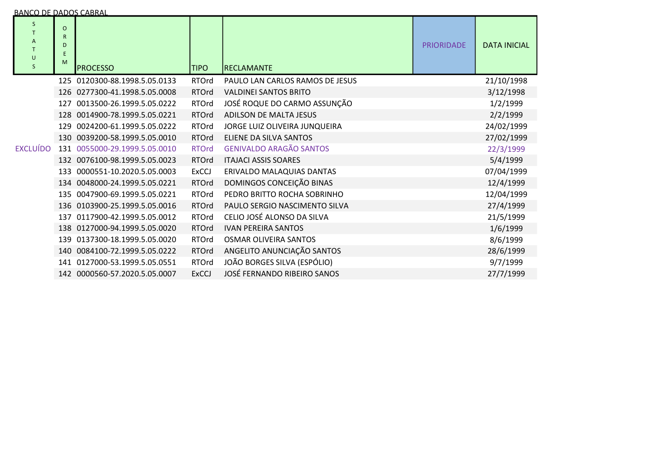| <b>BANCO DE DADOS CABRAL</b><br>S<br>$\mathsf{A}$<br>T<br>$\cup$ | $\circ$<br>R<br>D<br>E |                               |              |                                 | <b>PRIORIDADE</b> | <b>DATA INICIA</b> |
|------------------------------------------------------------------|------------------------|-------------------------------|--------------|---------------------------------|-------------------|--------------------|
|                                                                  | M                      | <b>IPROCESSO</b>              | <b>TIPO</b>  | <b>RECLAMANTE</b>               |                   |                    |
|                                                                  |                        | 125 0120300-88.1998.5.05.0133 | <b>RTOrd</b> | PAULO LAN CARLOS RAMOS DE JESUS |                   | 21/10/1998         |
|                                                                  |                        | 126 0277300-41.1998.5.05.0008 | <b>RTOrd</b> | <b>VALDINEI SANTOS BRITO</b>    |                   | 3/12/1998          |
|                                                                  |                        | 127 0013500-26.1999.5.05.0222 | <b>RTOrd</b> | JOSÉ ROQUE DO CARMO ASSUNÇÃO    |                   | 1/2/1999           |
|                                                                  |                        | 128 0014900-78.1999.5.05.0221 | <b>RTOrd</b> | ADILSON DE MALTA JESUS          |                   | 2/2/1999           |
|                                                                  |                        | 129 0024200-61.1999.5.05.0222 | <b>RTOrd</b> | JORGE LUIZ OLIVEIRA JUNQUEIRA   |                   | 24/02/1999         |
|                                                                  |                        | 130 0039200-58.1999.5.05.0010 | <b>RTOrd</b> | ELIENE DA SILVA SANTOS          |                   | 27/02/1999         |
| <b>EXCLUÍDO</b>                                                  |                        | 131 0055000-29.1999.5.05.0010 | <b>RTOrd</b> | <b>GENIVALDO ARAGÃO SANTOS</b>  |                   | 22/3/1999          |
|                                                                  |                        | 132 0076100-98.1999.5.05.0023 | <b>RTOrd</b> | <b>ITAJACI ASSIS SOARES</b>     |                   | 5/4/1999           |
|                                                                  |                        | 133 0000551-10.2020.5.05.0003 | <b>ExCCJ</b> | ERIVALDO MALAQUIAS DANTAS       |                   | 07/04/1999         |
|                                                                  |                        | 134 0048000-24.1999.5.05.0221 | <b>RTOrd</b> | DOMINGOS CONCEIÇÃO BINAS        |                   | 12/4/1999          |
|                                                                  |                        |                               |              |                                 |                   |                    |

RTOrd PEDRO BRITTO ROCHA SOBRINHO

RTOrd CELIO JOSÉ ALONSO DA SILVA

RTOrd PAULO SERGIO NASCIMENTO SILVA

JOSÉ FERNANDO RIBEIRO SANOS

RTOrd IVAN PEREIRA SANTOS 1/6/1999<br>RTOrd OSMAR OLIVEIRA SANTOS 1/6/1999 1/6/1999

RTOrd OSMAR OLIVEIRA SANTOS<br>RTOrd ANGELITO ANUNCIAÇÃO SANTOS RTORES EN ELECTRICAL EN ELECTRICAL DE SANTOS

ANGELITO ANUNCIAÇÃO SANTOS 28/6/1999

JOÃO BORGES SILVA (ESPÓLIO) 9/7/1999

135 0047900-69.1999.5.05.0221 RTOrd

136 0103900-25.1999.5.05.0016 RTOrd

137 011790042.1999.5.05.0012 RTOrd

138 012700094.1999.5.05.0020 RTOrd

139 0137300-18.1999.5.05.0020 RTOrd

140 0084100-72.1999.5.05.0222 RTOrd

141 012700053.1999.5.05.0551 RTOrd

142 0000560-57.2020.5.05.0007

DATA INICIAL

24/02/1999<br>27/02/1999

12/04/1999

27/4/1999

21/5/1999<br>1/6/1999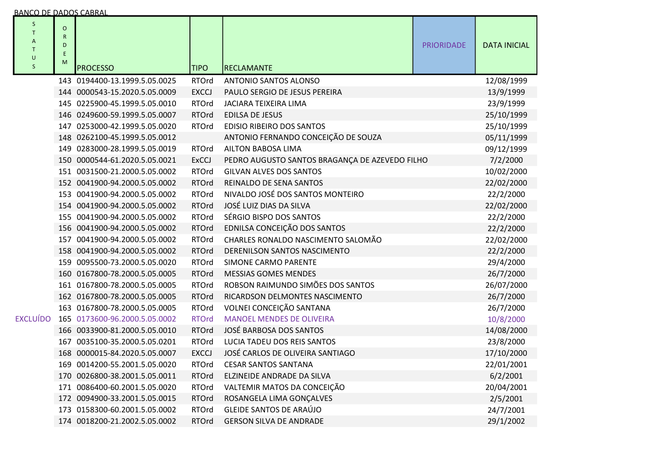|  | BANCO DE DADOS CABRAL |  |  |  |  |  |
|--|-----------------------|--|--|--|--|--|
|--|-----------------------|--|--|--|--|--|

| S<br>T<br>A<br>T<br>$\cup$<br><sub>S</sub> | $\circ$<br>$\mathsf R$<br>D<br>E<br>M | <b>PROCESSO</b>                                                              | <b>TIPO</b>                                      | RECLAMANTE                                     | <b>PRIORIDADE</b> | <b>DATA INICIAL</b> |
|--------------------------------------------|---------------------------------------|------------------------------------------------------------------------------|--------------------------------------------------|------------------------------------------------|-------------------|---------------------|
|                                            |                                       | 143 0194400-13.1999.5.05.0025                                                | <b>RTOrd</b>                                     | <b>ANTONIO SANTOS ALONSO</b>                   |                   | 12/08/1999          |
|                                            |                                       | 144 0000543-15.2020.5.05.0009                                                | <b>EXCCJ</b>                                     | PAULO SERGIO DE JESUS PEREIRA                  |                   | 13/9/1999           |
|                                            |                                       | 145 0225900-45.1999.5.05.0010                                                | <b>RTOrd</b>                                     | <b>JACIARA TEIXEIRA LIMA</b>                   |                   | 23/9/1999           |
|                                            |                                       | 146 0249600-59.1999.5.05.0007                                                | <b>RTOrd</b>                                     | <b>EDILSA DE JESUS</b>                         |                   | 25/10/1999          |
|                                            |                                       | 147 0253000-42.1999.5.05.0020                                                | <b>RTOrd</b>                                     | <b>EDISIO RIBEIRO DOS SANTOS</b>               |                   | 25/10/1999          |
|                                            |                                       | 148 0262100-45.1999.5.05.0012                                                |                                                  | ANTONIO FERNANDO CONCEIÇÃO DE SOUZA            |                   | 05/11/1999          |
|                                            |                                       | 149 0283000-28.1999.5.05.0019                                                | <b>RTOrd</b>                                     | <b>AILTON BABOSA LIMA</b>                      |                   | 09/12/1999          |
|                                            |                                       | 150 0000544-61.2020.5.05.0021                                                | <b>ExCCJ</b>                                     | PEDRO AUGUSTO SANTOS BRAGANÇA DE AZEVEDO FILHO |                   | 7/2/2000            |
|                                            |                                       | 151 0031500-21.2000.5.05.0002                                                | <b>RTOrd</b>                                     | <b>GILVAN ALVES DOS SANTOS</b>                 |                   | 10/02/2000          |
|                                            |                                       | 152 0041900-94.2000.5.05.0002                                                | <b>RTOrd</b>                                     | REINALDO DE SENA SANTOS                        |                   | 22/02/2000          |
|                                            |                                       | 153 0041900-94.2000.5.05.0002                                                | <b>RTOrd</b>                                     | NIVALDO JOSÉ DOS SANTOS MONTEIRO               |                   | 22/2/2000           |
|                                            |                                       | 154 0041900-94.2000.5.05.0002                                                | <b>RTOrd</b>                                     | JOSÉ LUIZ DIAS DA SILVA                        |                   | 22/02/2000          |
|                                            |                                       | 155 0041900-94.2000.5.05.0002                                                | <b>RTOrd</b>                                     | SÉRGIO BISPO DOS SANTOS                        |                   | 22/2/2000           |
|                                            |                                       | 156 0041900-94.2000.5.05.0002                                                | <b>RTOrd</b>                                     | EDNILSA CONCEIÇÃO DOS SANTOS                   |                   | 22/2/2000           |
|                                            |                                       | 157 0041900-94.2000.5.05.0002                                                | <b>RTOrd</b>                                     | CHARLES RONALDO NASCIMENTO SALOMÃO             |                   | 22/02/2000          |
|                                            |                                       | 158 0041900-94.2000.5.05.0002                                                | <b>RTOrd</b>                                     | DERENILSON SANTOS NASCIMENTO                   |                   | 22/2/2000           |
|                                            |                                       | 159 0095500-73.2000.5.05.0020                                                | <b>RTOrd</b>                                     | <b>SIMONE CARMO PARENTE</b>                    |                   | 29/4/2000           |
|                                            |                                       | 160 0167800-78.2000.5.05.0005                                                | <b>RTOrd</b>                                     | <b>MESSIAS GOMES MENDES</b>                    |                   | 26/7/2000           |
|                                            |                                       | 161 0167800-78.2000.5.05.0005                                                | <b>RTOrd</b>                                     | ROBSON RAIMUNDO SIMÕES DOS SANTOS              |                   | 26/07/2000          |
|                                            |                                       | 162 0167800-78.2000.5.05.0005                                                | <b>RTOrd</b>                                     | RICARDSON DELMONTES NASCIMENTO                 |                   | 26/7/2000           |
|                                            |                                       | 163 0167800-78.2000.5.05.0005                                                | <b>RTOrd</b>                                     | VOLNEI CONCEIÇÃO SANTANA                       |                   | 26/7/2000           |
| <b>EXCLUÍDO</b>                            |                                       | 165 0173600-96.2000.5.05.0002                                                | <b>RTOrd</b>                                     | <b>MANOEL MENDES DE OLIVEIRA</b>               |                   | 10/8/2000           |
|                                            |                                       | 166 0033900-81.2000.5.05.0010                                                | <b>RTOrd</b>                                     | JOSÉ BARBOSA DOS SANTOS                        |                   | 14/08/2000          |
|                                            |                                       | 167 0035100-35.2000.5.05.0201                                                | <b>RTOrd</b>                                     | LUCIA TADEU DOS REIS SANTOS                    |                   | 23/8/2000           |
|                                            |                                       | 168 0000015-84.2020.5.05.0007                                                | JOSÉ CARLOS DE OLIVEIRA SANTIAGO<br><b>EXCCJ</b> |                                                | 17/10/2000        |                     |
|                                            |                                       | 169 0014200-55.2001.5.05.0020<br><b>RTOrd</b><br><b>CESAR SANTOS SANTANA</b> |                                                  |                                                | 22/01/2001        |                     |
|                                            |                                       | 170 0026800-38.2001.5.05.0011                                                | <b>RTOrd</b>                                     | ELZINEIDE ANDRADE DA SILVA                     |                   | 6/2/2001            |
|                                            |                                       | 171 0086400-60.2001.5.05.0020                                                | <b>RTOrd</b>                                     | VALTEMIR MATOS DA CONCEIÇÃO                    |                   | 20/04/2001          |
|                                            |                                       | 172 0094900-33.2001.5.05.0015                                                | <b>RTOrd</b>                                     | ROSANGELA LIMA GONÇALVES                       |                   | 2/5/2001            |
|                                            |                                       | 173 0158300-60.2001.5.05.0002                                                | <b>RTOrd</b>                                     | <b>GLEIDE SANTOS DE ARAÚJO</b>                 |                   | 24/7/2001           |
|                                            |                                       | 174 0018200-21.2002.5.05.0002                                                | <b>RTOrd</b>                                     | <b>GERSON SILVA DE ANDRADE</b>                 |                   | 29/1/2002           |